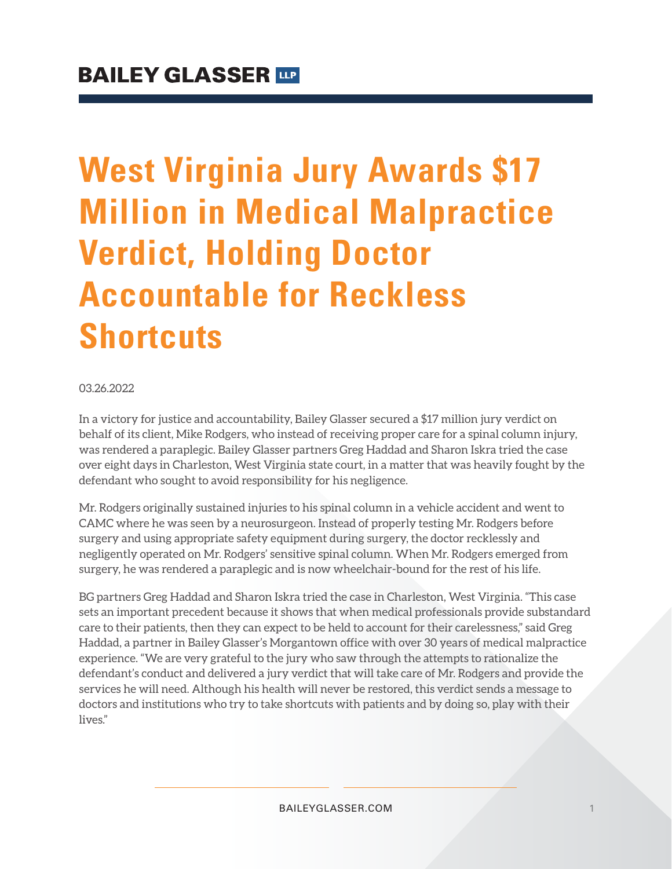# **West Virginia Jury Awards \$17 Million in Medical Malpractice Verdict, Holding Doctor Accountable for Reckless Shortcuts**

#### 03.26.2022

In a victory for justice and accountability, Bailey Glasser secured a \$17 million jury verdict on behalf of its client, Mike Rodgers, who instead of receiving proper care for a spinal column injury, was rendered a paraplegic. Bailey Glasser partners Greg Haddad and Sharon Iskra tried the case over eight days in Charleston, West Virginia state court, in a matter that was heavily fought by the defendant who sought to avoid responsibility for his negligence.

Mr. Rodgers originally sustained injuries to his spinal column in a vehicle accident and went to CAMC where he was seen by a neurosurgeon. Instead of properly testing Mr. Rodgers before surgery and using appropriate safety equipment during surgery, the doctor recklessly and negligently operated on Mr. Rodgers' sensitive spinal column. When Mr. Rodgers emerged from surgery, he was rendered a paraplegic and is now wheelchair-bound for the rest of his life.

BG partners Greg Haddad and Sharon Iskra tried the case in Charleston, West Virginia. "This case sets an important precedent because it shows that when medical professionals provide substandard care to their patients, then they can expect to be held to account for their carelessness," said Greg Haddad, a partner in Bailey Glasser's Morgantown office with over 30 years of medical malpractice experience. "We are very grateful to the jury who saw through the attempts to rationalize the defendant's conduct and delivered a jury verdict that will take care of Mr. Rodgers and provide the services he will need. Although his health will never be restored, this verdict sends a message to doctors and institutions who try to take shortcuts with patients and by doing so, play with their lives."